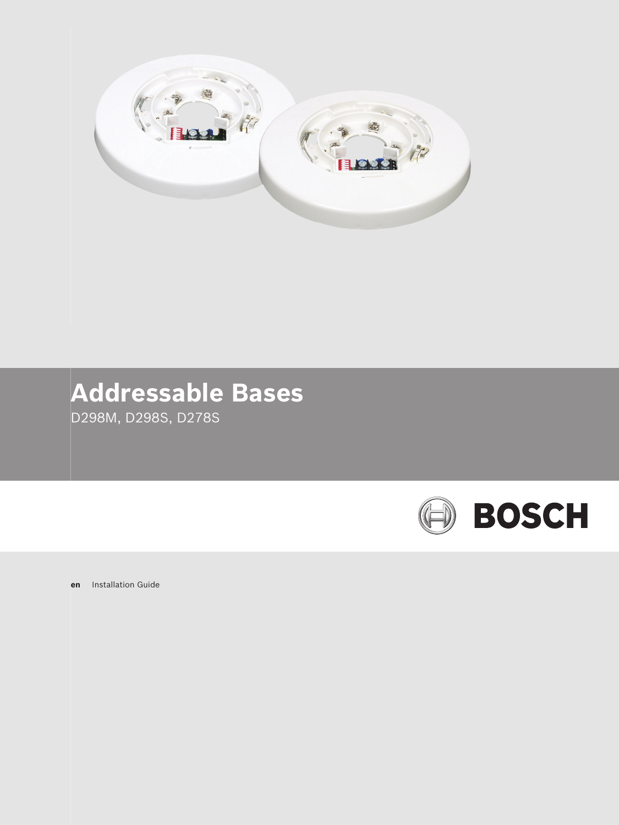

# **Addressable Bases**

D298M, D298S, D278S



**en** Installation Guide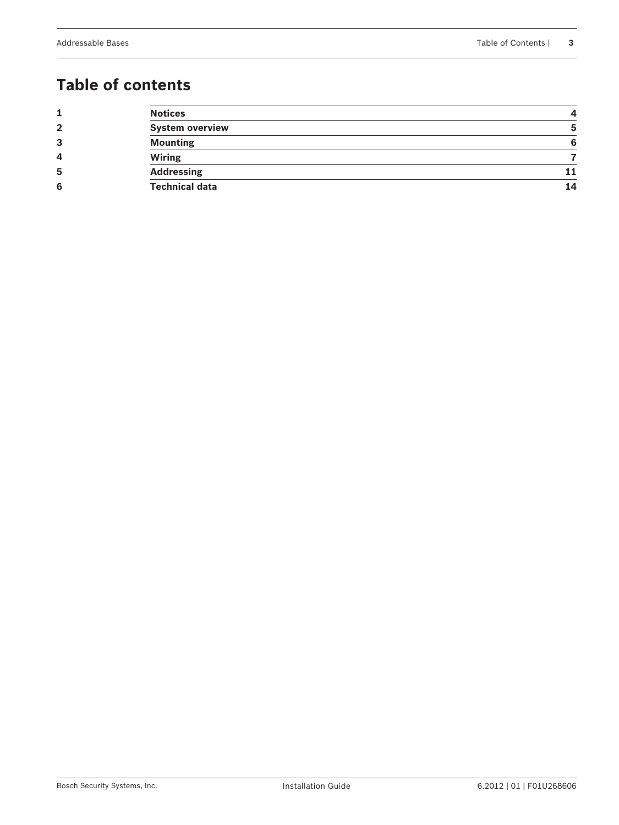## **Table of contents**

|              | <b>Notices</b>         |    |
|--------------|------------------------|----|
| $\mathbf{2}$ | <b>System overview</b> | b  |
| 3            | <b>Mounting</b>        |    |
| 4            | <b>Wiring</b>          |    |
| 5            | <b>Addressing</b>      |    |
| 6            | <b>Technical data</b>  | 14 |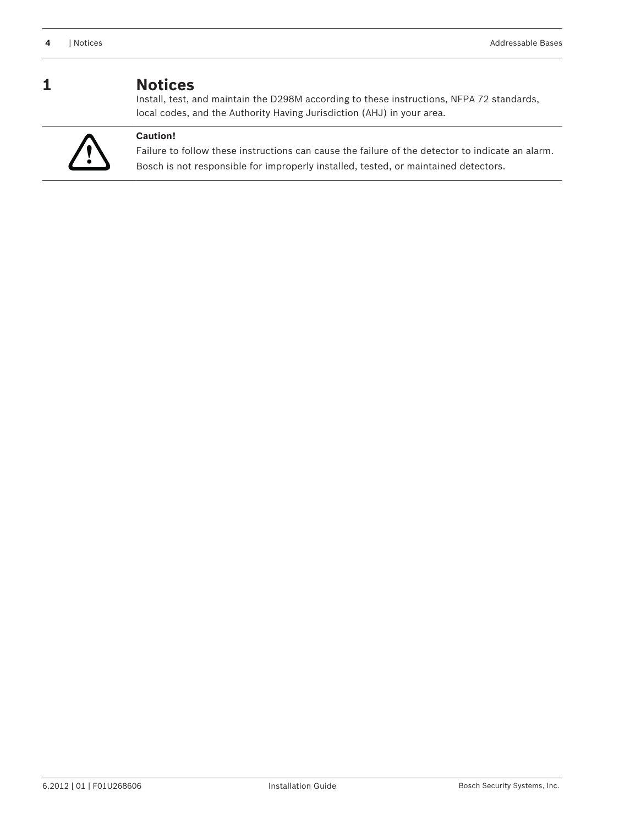#### <span id="page-3-0"></span>**Notices 1**

Install, test, and maintain the D298M according to these instructions, NFPA 72 standards, local codes, and the Authority Having Jurisdiction (AHJ) in your area.



#### **Caution!**

Failure to follow these instructions can cause the failure of the detector to indicate an alarm. Bosch is not responsible for improperly installed, tested, or maintained detectors.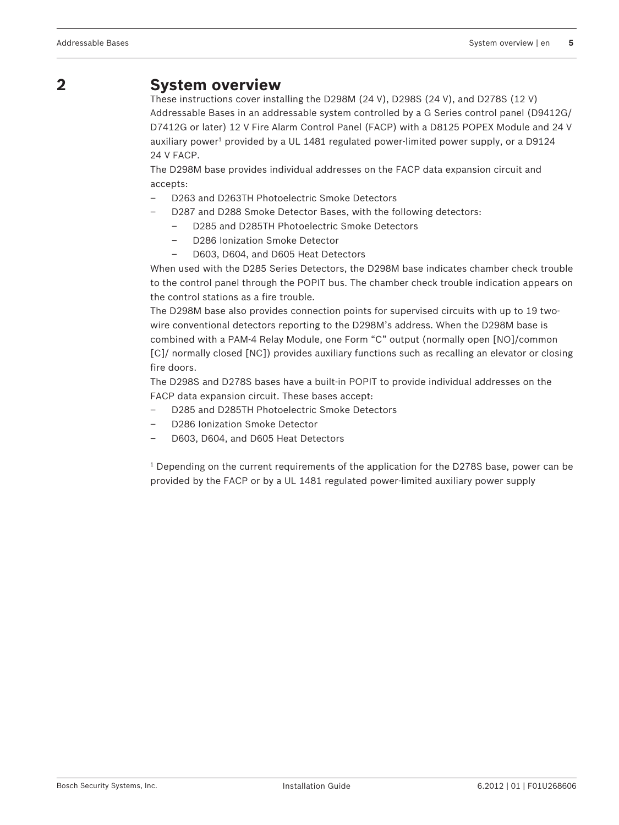#### <span id="page-4-0"></span>**System overview 2**

These instructions cover installing the D298M (24 V), D298S (24 V), and D278S (12 V) Addressable Bases in an addressable system controlled by a G Series control panel (D9412G/ D7412G or later) 12 V Fire Alarm Control Panel (FACP) with a D8125 POPEX Module and 24 V auxiliary power $^{\text{\tiny 1}}$  provided by a UL 1481 regulated power-limited power supply, or a D9124 24 V FACP.

The D298M base provides individual addresses on the FACP data expansion circuit and accepts:

- D263 and D263TH Photoelectric Smoke Detectors
- D287 and D288 Smoke Detector Bases, with the following detectors:
	- D285 and D285TH Photoelectric Smoke Detectors
	- D286 Ionization Smoke Detector
	- D603, D604, and D605 Heat Detectors

When used with the D285 Series Detectors, the D298M base indicates chamber check trouble to the control panel through the POPIT bus. The chamber check trouble indication appears on the control stations as a fire trouble.

The D298M base also provides connection points for supervised circuits with up to 19 twowire conventional detectors reporting to the D298M's address. When the D298M base is combined with a PAM‑4 Relay Module, one Form "C" output (normally open [NO]/common [C]/ normally closed [NC]) provides auxiliary functions such as recalling an elevator or closing fire doors.

The D298S and D278S bases have a built‑in POPIT to provide individual addresses on the FACP data expansion circuit. These bases accept:

- D285 and D285TH Photoelectric Smoke Detectors
- D286 Ionization Smoke Detector
- D603, D604, and D605 Heat Detectors

 $^{\rm 1}$  Depending on the current requirements of the application for the D278S base, power can be provided by the FACP or by a UL 1481 regulated power‑limited auxiliary power supply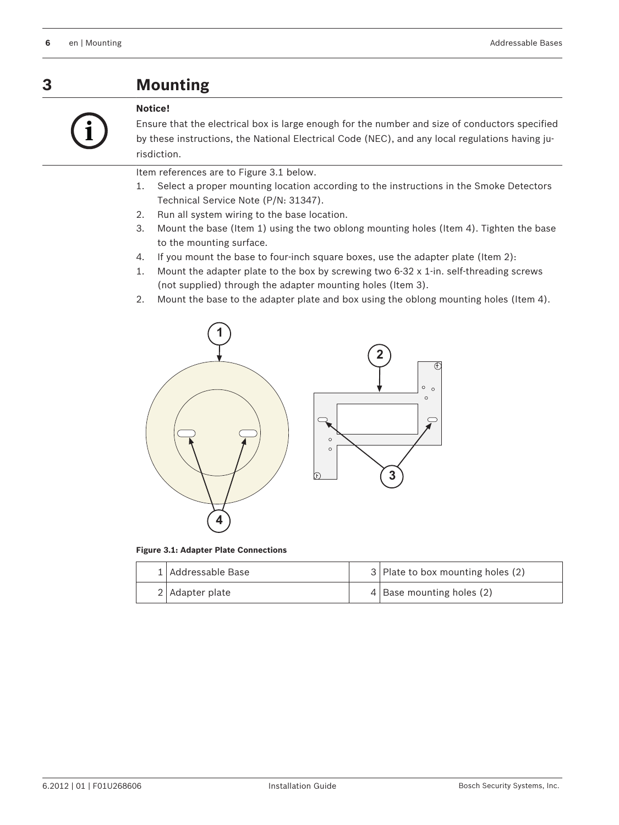<span id="page-5-0"></span>**Mounting 3**



#### **Notice!**

Ensure that the electrical box is large enough for the number and size of conductors specified by these instructions, the National Electrical Code (NEC), and any local regulations having jurisdiction.

Item references are to Figure 3.1 below.

- 1. Select a proper mounting location according to the instructions in the Smoke Detectors Technical Service Note (P/N: 31347).
- 2. Run all system wiring to the base location.
- 3. Mount the base (Item 1) using the two oblong mounting holes (Item 4). Tighten the base to the mounting surface.
- 4. If you mount the base to four-inch square boxes, use the adapter plate (Item 2):
- 1. Mount the adapter plate to the box by screwing two 6-32 x 1-in. self-threading screws (not supplied) through the adapter mounting holes (Item 3).
- 2. Mount the base to the adapter plate and box using the oblong mounting holes (Item 4).



**Figure 3.1: Adapter Plate Connections**

| 1 Addressable Base | $3$ Plate to box mounting holes (2) |
|--------------------|-------------------------------------|
| 2 Adapter plate    | $4$ Base mounting holes (2)         |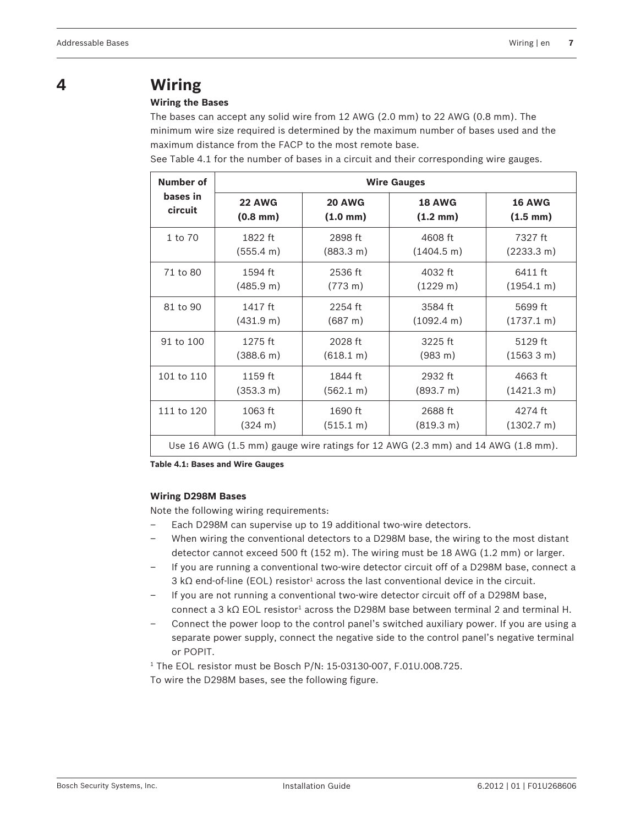## <span id="page-6-0"></span>**4**

#### **Wiring the Bases**

**Wiring**

The bases can accept any solid wire from 12 AWG (2.0 mm) to 22 AWG (0.8 mm). The minimum wire size required is determined by the maximum number of bases used and the maximum distance from the FACP to the most remote base.

See Table 4.1 for the number of bases in a circuit and their corresponding wire gauges.

| Number of  |                     | <b>Wire Gauges</b>   |                                                                                 |                      |  |  |  |  |  |  |  |  |  |
|------------|---------------------|----------------------|---------------------------------------------------------------------------------|----------------------|--|--|--|--|--|--|--|--|--|
| bases in   | <b>22 AWG</b>       | <b>20 AWG</b>        | <b>18 AWG</b>                                                                   | <b>16 AWG</b>        |  |  |  |  |  |  |  |  |  |
| circuit    | $(0.8 \text{ mm})$  | $(1.0 \; \text{mm})$ | $(1.2 \text{ mm})$                                                              | $(1.5 \; \text{mm})$ |  |  |  |  |  |  |  |  |  |
| 1 to 70    | 1822 ft             | 2898 ft              | 4608 ft                                                                         | 7327 ft              |  |  |  |  |  |  |  |  |  |
|            | (555.4 m)           | (883.3 m)            | $(1404.5 \text{ m})$                                                            | (2233.3 m)           |  |  |  |  |  |  |  |  |  |
| 71 to 80   | 1594 ft             | 2536 ft              | 4032 ft                                                                         | 6411 ft              |  |  |  |  |  |  |  |  |  |
|            | (485.9 m)           | $(773 \text{ m})$    | (1229 m)                                                                        | (1954.1 m)           |  |  |  |  |  |  |  |  |  |
| 81 to 90   | 1417 ft             | 2254 ft              | 3584 ft                                                                         | 5699 ft              |  |  |  |  |  |  |  |  |  |
|            | (431.9 m)           | (687 m)              | $(1092.4 \text{ m})$                                                            | $(1737.1 \text{ m})$ |  |  |  |  |  |  |  |  |  |
| 91 to 100  | 1275 ft             | 2028 ft              | 3225 ft                                                                         | 5129 ft              |  |  |  |  |  |  |  |  |  |
|            | $(388.6 \text{ m})$ | (618.1 m)            | $(983 \text{ m})$                                                               | (15633 m)            |  |  |  |  |  |  |  |  |  |
| 101 to 110 | 1159 ft             | 1844 ft              | 2932 ft                                                                         | 4663 ft              |  |  |  |  |  |  |  |  |  |
|            | $(353.3 \text{ m})$ | (562.1 m)            | (893.7 m)                                                                       | (1421.3 m)           |  |  |  |  |  |  |  |  |  |
| 111 to 120 | 1063 ft             | 1690 ft              | 2688 ft                                                                         | 4274 ft              |  |  |  |  |  |  |  |  |  |
|            | $(324 \text{ m})$   | $(515.1 \text{ m})$  | (819.3 m)                                                                       | (1302.7 m)           |  |  |  |  |  |  |  |  |  |
|            |                     |                      | Use 16 AWG (1.5 mm) gauge wire ratings for 12 AWG (2.3 mm) and 14 AWG (1.8 mm). |                      |  |  |  |  |  |  |  |  |  |

**Table 4.1: Bases and Wire Gauges**

#### **Wiring D298M Bases**

Note the following wiring requirements:

- Each D298M can supervise up to 19 additional two-wire detectors.
- When wiring the conventional detectors to a D298M base, the wiring to the most distant detector cannot exceed 500 ft (152 m). The wiring must be 18 AWG (1.2 mm) or larger.
- If you are running a conventional two-wire detector circuit off of a D298M base, connect a 3 kΩ end-of-line (EOL) resistor $^1$  across the last conventional device in the circuit.
- If you are not running a conventional two-wire detector circuit off of a D298M base, connect a 3 kΩ EOL resistor<sup>1</sup> across the D298M base between terminal 2 and terminal H.
- Connect the power loop to the control panel's switched auxiliary power. If you are using a separate power supply, connect the negative side to the control panel's negative terminal or POPIT.

1 The EOL resistor must be Bosch P/N: 15‑03130‑007, F.01U.008.725. To wire the D298M bases, see the following figure.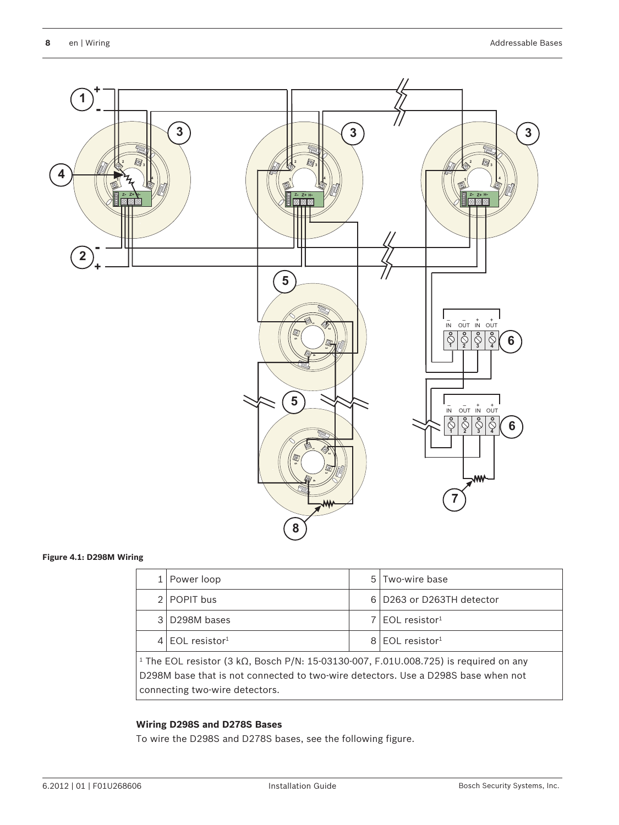

#### **Figure 4.1: D298M Wiring**

|                                                                                                                                                                                                                                 | Power loop                    |  | 5 Two-wire base               |  |  |  |  |  |
|---------------------------------------------------------------------------------------------------------------------------------------------------------------------------------------------------------------------------------|-------------------------------|--|-------------------------------|--|--|--|--|--|
|                                                                                                                                                                                                                                 | 2 POPIT bus                   |  | 6 D263 or D263TH detector     |  |  |  |  |  |
|                                                                                                                                                                                                                                 | 3 D298M bases                 |  | $7$ EOL resistor <sup>1</sup> |  |  |  |  |  |
|                                                                                                                                                                                                                                 | $4$ FOI resistor <sup>1</sup> |  | $8$ EOL resistor <sup>1</sup> |  |  |  |  |  |
| <sup>1</sup> The EOL resistor (3 k $\Omega$ , Bosch P/N: 15-03130-007, F.01U.008.725) is required on any<br>D298M base that is not connected to two-wire detectors. Use a D298S base when not<br>connecting two-wire detectors. |                               |  |                               |  |  |  |  |  |

#### **Wiring D298S and D278S Bases**

To wire the D298S and D278S bases, see the following figure.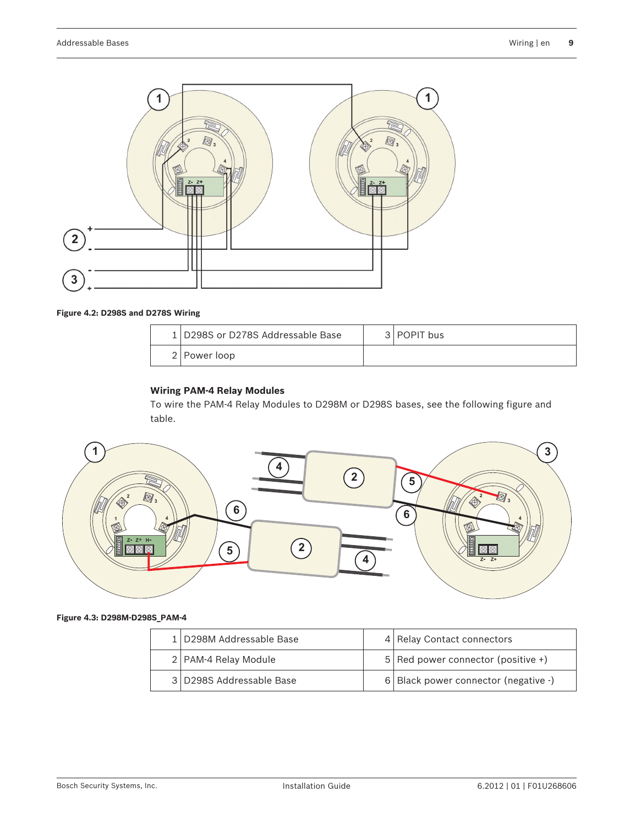

#### **Figure 4.2: D298S and D278S Wiring**

| 1 D298S or D278S Addressable Base | 3   POPIT bus |
|-----------------------------------|---------------|
| 2   Power loop                    |               |

#### **Wiring PAM-4 Relay Modules**

To wire the PAM‑4 Relay Modules to D298M or D298S bases, see the following figure and table.



#### **Figure 4.3: D298M-D298S\_PAM-4**

| 1 D298M Addressable Base | 4 Relay Contact connectors           |
|--------------------------|--------------------------------------|
| 2   PAM-4 Relay Module   | $5$ Red power connector (positive +) |
| 3 D298S Addressable Base | 6 Black power connector (negative -) |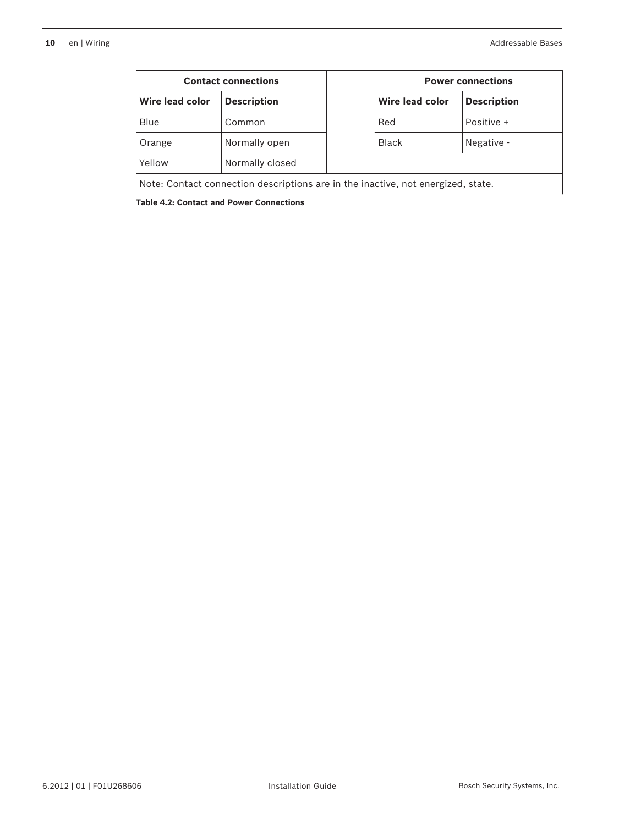|                                                                                  | <b>Contact connections</b> |  |                 | <b>Power connections</b> |  |  |  |  |
|----------------------------------------------------------------------------------|----------------------------|--|-----------------|--------------------------|--|--|--|--|
| Wire lead color                                                                  | <b>Description</b>         |  | Wire lead color | <b>Description</b>       |  |  |  |  |
| Blue                                                                             | Common                     |  | Red             | Positive +               |  |  |  |  |
| Orange                                                                           | Normally open              |  | <b>Black</b>    | Negative -               |  |  |  |  |
| Yellow                                                                           | Normally closed            |  |                 |                          |  |  |  |  |
| Note: Contact connection descriptions are in the inactive, not energized, state. |                            |  |                 |                          |  |  |  |  |

**Table 4.2: Contact and Power Connections**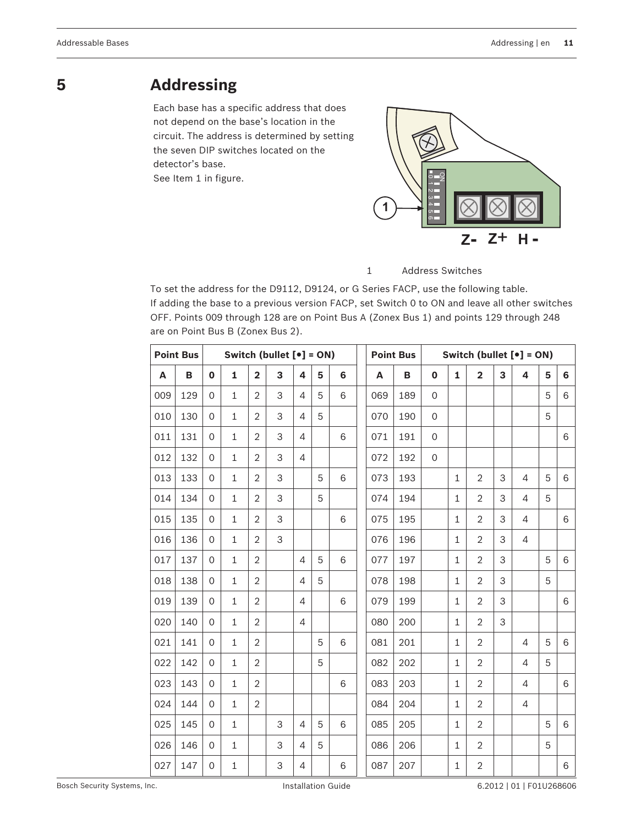### <span id="page-10-0"></span>**5**

## **Addressing**

Each base has a specific address that does not depend on the base's location in the circuit. The address is determined by setting the seven DIP switches located on the detector's base.

See Item 1 in figure.



#### 1 Address Switches

To set the address for the D9112, D9124, or G Series FACP, use the following table. If adding the base to a previous version FACP, set Switch 0 to ON and leave all other switches OFF. Points 009 through 128 are on Point Bus A (Zonex Bus 1) and points 129 through 248 are on Point Bus B (Zonex Bus 2).

|     | <b>Point Bus</b> | Switch (bullet $[e] = ON$ ) |              |                         |   |                |   | Switch (bullet $[e] = ON$ )<br><b>Point Bus</b> |     |     |                |              |                         |   |                |   |   |
|-----|------------------|-----------------------------|--------------|-------------------------|---|----------------|---|-------------------------------------------------|-----|-----|----------------|--------------|-------------------------|---|----------------|---|---|
| Α   | B                | $\mathbf 0$                 | $\mathbf{1}$ | $\overline{\mathbf{2}}$ | 3 | 4              | 5 | 6                                               | A   | В   | $\mathbf 0$    | $\mathbf{1}$ | $\overline{\mathbf{2}}$ | 3 | 4              | 5 | 6 |
| 009 | 129              | $\Omega$                    | $\mathbf{1}$ | $\overline{2}$          | 3 | $\overline{4}$ | 5 | 6                                               | 069 | 189 | $\overline{O}$ |              |                         |   |                | 5 | 6 |
| 010 | 130              | $\Omega$                    | $\mathbf{1}$ | $\overline{2}$          | 3 | $\overline{4}$ | 5 |                                                 | 070 | 190 | 0              |              |                         |   |                | 5 |   |
| 011 | 131              | $\Omega$                    | $\mathbf{1}$ | $\overline{2}$          | 3 | $\overline{4}$ |   | 6                                               | 071 | 191 | $\mathbf 0$    |              |                         |   |                |   | 6 |
| 012 | 132              | $\Omega$                    | $\mathbf{1}$ | $\overline{2}$          | 3 | $\overline{4}$ |   |                                                 | 072 | 192 | $\mathbf 0$    |              |                         |   |                |   |   |
| 013 | 133              | $\Omega$                    | $\mathbf{1}$ | $\overline{2}$          | 3 |                | 5 | 6                                               | 073 | 193 |                | $\mathbf{1}$ | $\overline{2}$          | 3 | 4              | 5 | 6 |
| 014 | 134              | $\Omega$                    | $\mathbf{1}$ | $\overline{2}$          | 3 |                | 5 |                                                 | 074 | 194 |                | $\mathbf{1}$ | $\overline{2}$          | 3 | 4              | 5 |   |
| 015 | 135              | $\Omega$                    | $\mathbf{1}$ | $\overline{2}$          | 3 |                |   | 6                                               | 075 | 195 |                | $\mathbf{1}$ | $\overline{2}$          | 3 | 4              |   | 6 |
| 016 | 136              | $\Omega$                    | $\mathbf{1}$ | $\overline{2}$          | 3 |                |   |                                                 | 076 | 196 |                | $\mathbf{1}$ | $\overline{2}$          | 3 | $\overline{4}$ |   |   |
| 017 | 137              | $\Omega$                    | $\mathbf{1}$ | $\overline{2}$          |   | $\overline{4}$ | 5 | 6                                               | 077 | 197 |                | $\mathbf{1}$ | $\overline{2}$          | 3 |                | 5 | 6 |
| 018 | 138              | $\Omega$                    | $\mathbf{1}$ | $\overline{2}$          |   | 4              | 5 |                                                 | 078 | 198 |                | $\mathbf{1}$ | $\overline{2}$          | 3 |                | 5 |   |
| 019 | 139              | $\Omega$                    | $\mathbf{1}$ | $\overline{2}$          |   | 4              |   | 6                                               | 079 | 199 |                | $\mathbf{1}$ | $\overline{2}$          | 3 |                |   | 6 |
| 020 | 140              | $\Omega$                    | $\mathbf{1}$ | $\overline{2}$          |   | $\overline{4}$ |   |                                                 | 080 | 200 |                | $\mathbf{1}$ | $\overline{2}$          | 3 |                |   |   |
| 021 | 141              | $\Omega$                    | $\mathbf{1}$ | $\overline{2}$          |   |                | 5 | 6                                               | 081 | 201 |                | $\mathbf{1}$ | $\overline{2}$          |   | $\overline{4}$ | 5 | 6 |
| 022 | 142              | $\Omega$                    | $\mathbf{1}$ | $\overline{2}$          |   |                | 5 |                                                 | 082 | 202 |                | $\mathbf{1}$ | $\overline{2}$          |   | 4              | 5 |   |
| 023 | 143              | $\Omega$                    | $\mathbf{1}$ | $\overline{2}$          |   |                |   | 6                                               | 083 | 203 |                | $\mathbf{1}$ | $\overline{2}$          |   | $\overline{4}$ |   | 6 |
| 024 | 144              | $\Omega$                    | $\mathbf{1}$ | $\overline{2}$          |   |                |   |                                                 | 084 | 204 |                | $\mathbf{1}$ | 2                       |   | 4              |   |   |
| 025 | 145              | $\Omega$                    | $\mathbf{1}$ |                         | 3 | $\overline{4}$ | 5 | 6                                               | 085 | 205 |                | $\mathbf{1}$ | $\overline{2}$          |   |                | 5 | 6 |
| 026 | 146              | $\Omega$                    | $\mathbf{1}$ |                         | 3 | 4              | 5 |                                                 | 086 | 206 |                | $\mathbf{1}$ | $\overline{2}$          |   |                | 5 |   |
| 027 | 147              | $\Omega$                    | $\mathbf{1}$ |                         | 3 | $\overline{4}$ |   | 6                                               | 087 | 207 |                | $\mathbf{1}$ | $\overline{2}$          |   |                |   | 6 |

Bosch Security Systems, Inc. The Superintendent Systems, Installation Guide 6.2012 | 01 | F01U268606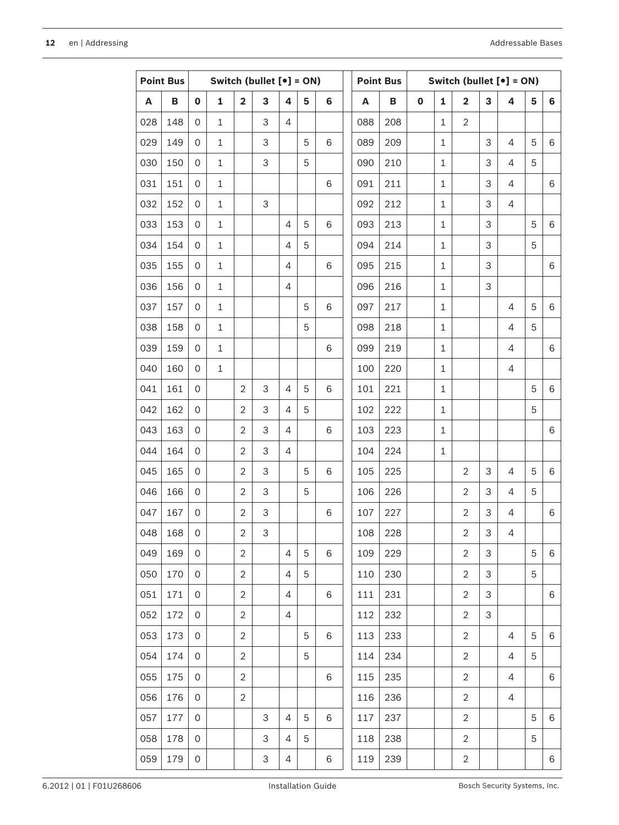|     | <b>Point Bus</b> | Switch (bullet $[e] = ON$ ) |              |                         | <b>Point Bus</b><br>Switch (bullet $[e] = ON$ ) |                |   |   |     |     |             |              |                         |                |                |   |   |
|-----|------------------|-----------------------------|--------------|-------------------------|-------------------------------------------------|----------------|---|---|-----|-----|-------------|--------------|-------------------------|----------------|----------------|---|---|
| A   | B                | $\mathbf 0$                 | $\mathbf{1}$ | $\overline{\mathbf{2}}$ | 3                                               | 4              | 5 | 6 | A   | B   | $\mathbf 0$ | $\mathbf{1}$ | $\overline{\mathbf{2}}$ | 3              | 4              | 5 | 6 |
| 028 | 148              | 0                           | $\mathbf{1}$ |                         | 3                                               | 4              |   |   | 088 | 208 |             | $\mathbf{1}$ | $\overline{2}$          |                |                |   |   |
| 029 | 149              | $\overline{O}$              | $\mathbf{1}$ |                         | 3                                               |                | 5 | 6 | 089 | 209 |             | $\mathbf{1}$ |                         | 3              | 4              | 5 | 6 |
| 030 | 150              | $\overline{O}$              | $\mathbf{1}$ |                         | 3                                               |                | 5 |   | 090 | 210 |             | $\mathbf{1}$ |                         | 3              | $\overline{4}$ | 5 |   |
| 031 | 151              | 0                           | $\mathbf{1}$ |                         |                                                 |                |   | 6 | 091 | 211 |             | $\mathbf{1}$ |                         | 3              | 4              |   | 6 |
| 032 | 152              | 0                           | $\mathbf{1}$ |                         | 3                                               |                |   |   | 092 | 212 |             | $\mathbf{1}$ |                         | 3              | 4              |   |   |
| 033 | 153              | $\overline{O}$              | $\mathbf{1}$ |                         |                                                 | 4              | 5 | 6 | 093 | 213 |             | $\mathbf{1}$ |                         | 3              |                | 5 | 6 |
| 034 | 154              | 0                           | $\mathbf{1}$ |                         |                                                 | $\overline{4}$ | 5 |   | 094 | 214 |             | $\mathbf{1}$ |                         | 3              |                | 5 |   |
| 035 | 155              | 0                           | $\mathbf{1}$ |                         |                                                 | $\overline{4}$ |   | 6 | 095 | 215 |             | $\mathbf{1}$ |                         | 3              |                |   | 6 |
| 036 | 156              | $\overline{O}$              | $\mathbf{1}$ |                         |                                                 | $\overline{4}$ |   |   | 096 | 216 |             | $\mathbf{1}$ |                         | 3              |                |   |   |
| 037 | 157              | 0                           | $\mathbf{1}$ |                         |                                                 |                | 5 | 6 | 097 | 217 |             | $\mathbf{1}$ |                         |                | $\overline{4}$ | 5 | 6 |
| 038 | 158              | 0                           | $\mathbf{1}$ |                         |                                                 |                | 5 |   | 098 | 218 |             | $\mathbf{1}$ |                         |                | 4              | 5 |   |
| 039 | 159              | 0                           | $\mathbf{1}$ |                         |                                                 |                |   | 6 | 099 | 219 |             | $\mathbf{1}$ |                         |                | 4              |   | 6 |
| 040 | 160              | $\overline{O}$              | $\mathbf{1}$ |                         |                                                 |                |   |   | 100 | 220 |             | $\mathbf{1}$ |                         |                | $\overline{4}$ |   |   |
| 041 | 161              | $\mathbf{O}$                |              | $\overline{2}$          | 3                                               | 4              | 5 | 6 | 101 | 221 |             | $\mathbf{1}$ |                         |                |                | 5 | 6 |
| 042 | 162              | $\overline{O}$              |              | $\overline{2}$          | 3                                               | 4              | 5 |   | 102 | 222 |             | $\mathbf{1}$ |                         |                |                | 5 |   |
| 043 | 163              | $\overline{O}$              |              | $\overline{2}$          | 3                                               | 4              |   | 6 | 103 | 223 |             | $\mathbf{1}$ |                         |                |                |   | 6 |
| 044 | 164              | $\overline{O}$              |              | $\overline{2}$          | 3                                               | $\overline{4}$ |   |   | 104 | 224 |             | $\mathbf{1}$ |                         |                |                |   |   |
| 045 | 165              | $\overline{O}$              |              | $\overline{2}$          | 3                                               |                | 5 | 6 | 105 | 225 |             |              | 2                       | 3              | 4              | 5 | 6 |
| 046 | 166              | $\mathbf{O}$                |              | $\overline{2}$          | 3                                               |                | 5 |   | 106 | 226 |             |              | $\overline{2}$          | 3              | 4              | 5 |   |
| 047 | 167              | $\mathbf{O}$                |              | $\overline{2}$          | 3                                               |                |   | 6 | 107 | 227 |             |              | $\overline{2}$          | 3              | 4              |   | 6 |
| 048 | 168              | $\boldsymbol{0}$            |              | $\sqrt{2}$              | 3                                               |                |   |   | 108 | 228 |             |              | $\sqrt{2}$              | 3              | 4              |   |   |
| 049 | 169              | 0                           |              | $\overline{2}$          |                                                 | $\overline{4}$ | 5 | 6 | 109 | 229 |             |              | $\overline{2}$          | 3              |                | 5 | 6 |
| 050 | 170              | 0                           |              | $\overline{2}$          |                                                 | $\overline{4}$ | 5 |   | 110 | 230 |             |              | $\overline{2}$          | $\mathfrak{S}$ |                | 5 |   |
| 051 | 171              | $\overline{0}$              |              | $\overline{2}$          |                                                 | 4              |   | 6 | 111 | 231 |             |              | $\overline{2}$          | 3              |                |   | 6 |
| 052 | 172              | 0                           |              | $\overline{2}$          |                                                 | 4              |   |   | 112 | 232 |             |              | $\overline{2}$          | 3              |                |   |   |
| 053 | 173              | $\overline{0}$              |              | $\overline{2}$          |                                                 |                | 5 | 6 | 113 | 233 |             |              | $\overline{2}$          |                | 4              | 5 | 6 |
| 054 | 174              | $\overline{0}$              |              | $\overline{2}$          |                                                 |                | 5 |   | 114 | 234 |             |              | $\overline{2}$          |                | $\overline{4}$ | 5 |   |
| 055 | 175              | $\Omega$                    |              | $\overline{2}$          |                                                 |                |   | 6 | 115 | 235 |             |              | $\overline{2}$          |                | 4              |   | 6 |
| 056 | 176              | $\overline{0}$              |              | $\overline{2}$          |                                                 |                |   |   | 116 | 236 |             |              | $\overline{2}$          |                | 4              |   |   |
| 057 | 177              | $\overline{0}$              |              |                         | 3                                               | $\overline{4}$ | 5 | 6 | 117 | 237 |             |              | $\overline{2}$          |                |                | 5 | 6 |
| 058 | 178              | $\Omega$                    |              |                         | 3                                               | 4              | 5 |   | 118 | 238 |             |              | $\overline{2}$          |                |                | 5 |   |
| 059 | 179              | 0                           |              |                         | 3                                               | 4              |   | 6 | 119 | 239 |             |              | $\overline{c}$          |                |                |   | 6 |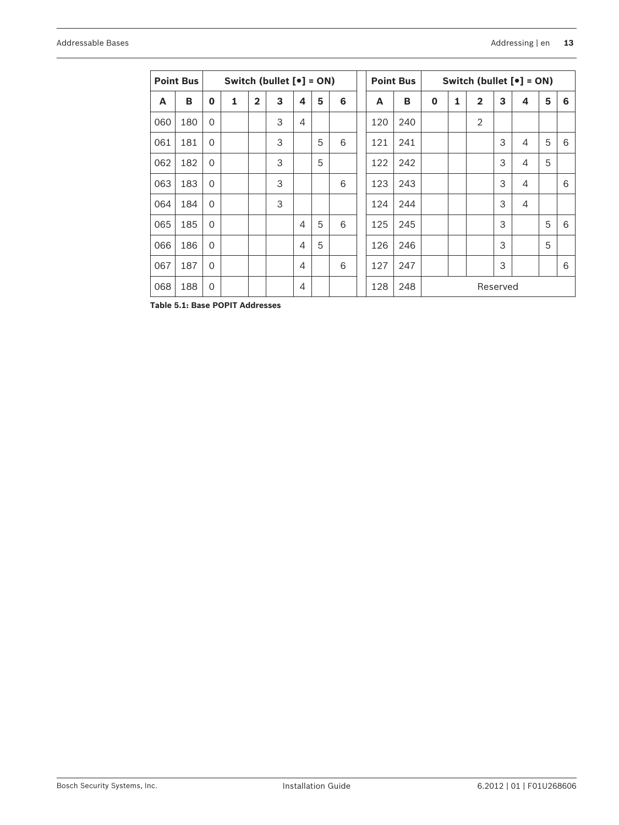|     | <b>Point Bus</b> |          | Switch (bullet $[e] = ON$ ) |                |   |                |   |   |  | <b>Point Bus</b><br>Switch (bullet $[e] = ON$ ) |     |             |   |                |          |                  |   |   |
|-----|------------------|----------|-----------------------------|----------------|---|----------------|---|---|--|-------------------------------------------------|-----|-------------|---|----------------|----------|------------------|---|---|
| A   | B                | $\bf{0}$ | 1                           | $\overline{2}$ | 3 | 4              | 5 | 6 |  | A                                               | B   | $\mathbf 0$ | 1 | $\overline{2}$ | 3        | $\boldsymbol{4}$ | 5 | 6 |
| 060 | 180              | $\Omega$ |                             |                | 3 | $\overline{4}$ |   |   |  | 120                                             | 240 |             |   | $\overline{2}$ |          |                  |   |   |
| 061 | 181              | $\Omega$ |                             |                | 3 |                | 5 | 6 |  | 121                                             | 241 |             |   |                | 3        | 4                | 5 | 6 |
| 062 | 182              | $\Omega$ |                             |                | 3 |                | 5 |   |  | 122                                             | 242 |             |   |                | 3        | $\overline{4}$   | 5 |   |
| 063 | 183              | $\Omega$ |                             |                | 3 |                |   | 6 |  | 123                                             | 243 |             |   |                | 3        | $\overline{4}$   |   | 6 |
| 064 | 184              | $\Omega$ |                             |                | 3 |                |   |   |  | 124                                             | 244 |             |   |                | 3        | 4                |   |   |
| 065 | 185              | $\Omega$ |                             |                |   | $\overline{4}$ | 5 | 6 |  | 125                                             | 245 |             |   |                | 3        |                  | 5 | 6 |
| 066 | 186              | $\Omega$ |                             |                |   | $\overline{4}$ | 5 |   |  | 126                                             | 246 |             |   |                | 3        |                  | 5 |   |
| 067 | 187              | $\Omega$ |                             |                |   | 4              |   | 6 |  | 127                                             | 247 |             |   |                | 3        |                  |   | 6 |
| 068 | 188              | $\Omega$ |                             |                |   | $\overline{4}$ |   |   |  | 128                                             | 248 |             |   |                | Reserved |                  |   |   |

**Table 5.1: Base POPIT Addresses**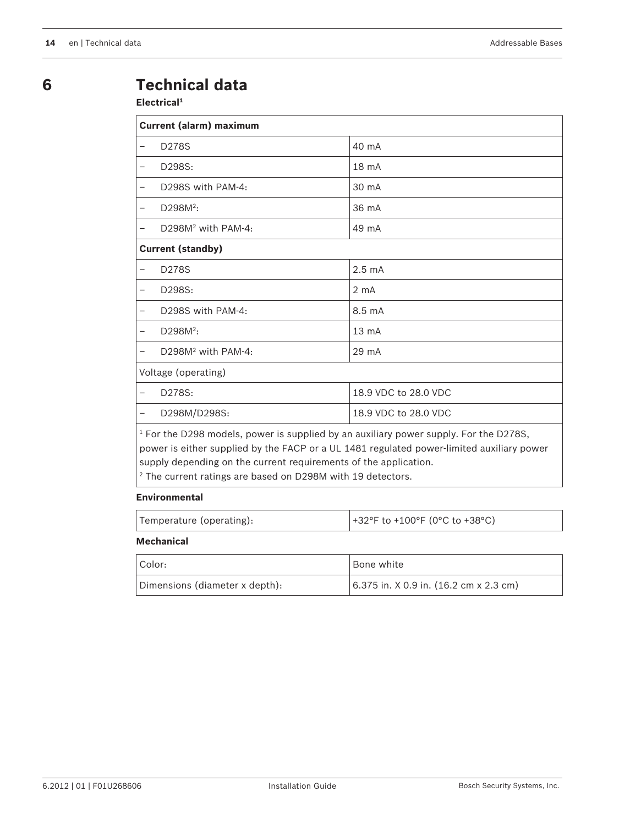### <span id="page-13-0"></span>**6**

## **Technical data**

#### **Electrical<sup>1</sup>**

|   | <b>Current (alarm) maximum</b>                                                                                                                                                       |                      |  |  |  |  |  |  |  |
|---|--------------------------------------------------------------------------------------------------------------------------------------------------------------------------------------|----------------------|--|--|--|--|--|--|--|
|   | D278S                                                                                                                                                                                | 40 mA                |  |  |  |  |  |  |  |
|   | D298S:                                                                                                                                                                               | 18 <sub>mA</sub>     |  |  |  |  |  |  |  |
|   | D298S with PAM-4:                                                                                                                                                                    | 30 mA                |  |  |  |  |  |  |  |
|   | D298M <sup>2</sup> :                                                                                                                                                                 | 36 mA                |  |  |  |  |  |  |  |
|   | $D298M2$ with PAM-4:                                                                                                                                                                 | 49 mA                |  |  |  |  |  |  |  |
|   | <b>Current (standby)</b>                                                                                                                                                             |                      |  |  |  |  |  |  |  |
|   | D278S                                                                                                                                                                                | $2.5 \text{ mA}$     |  |  |  |  |  |  |  |
| - | D298S:                                                                                                                                                                               | $2 \text{ mA}$       |  |  |  |  |  |  |  |
|   | D298S with PAM-4:                                                                                                                                                                    | $8.5 \text{ mA}$     |  |  |  |  |  |  |  |
|   | D298M <sup>2</sup> :                                                                                                                                                                 | $13 \text{ mA}$      |  |  |  |  |  |  |  |
|   | $D298M2$ with PAM-4:                                                                                                                                                                 | $29 \text{ mA}$      |  |  |  |  |  |  |  |
|   | Voltage (operating)                                                                                                                                                                  |                      |  |  |  |  |  |  |  |
|   | D278S:                                                                                                                                                                               | 18.9 VDC to 28.0 VDC |  |  |  |  |  |  |  |
|   | D298M/D298S:                                                                                                                                                                         | 18.9 VDC to 28.0 VDC |  |  |  |  |  |  |  |
|   | $1$ For the D298 models, power is supplied by an auxiliary power supply. For the D278S,<br>power is either supplied by the FACP or a UL 1481 regulated power-limited auxiliary power |                      |  |  |  |  |  |  |  |

supply depending on the current requirements of the application. 2 The current ratings are based on D298M with 19 detectors.

#### **Environmental**

| Temperature (operating): | $+32$ °F to +100°F (0°C to +38°C) |
|--------------------------|-----------------------------------|
|                          |                                   |

#### **Mechanical**

| Color:                         | <sup>I</sup> Bone white                     |
|--------------------------------|---------------------------------------------|
| Dimensions (diameter x depth): | $(6.375$ in. X 0.9 in. $(16.2$ cm x 2.3 cm) |